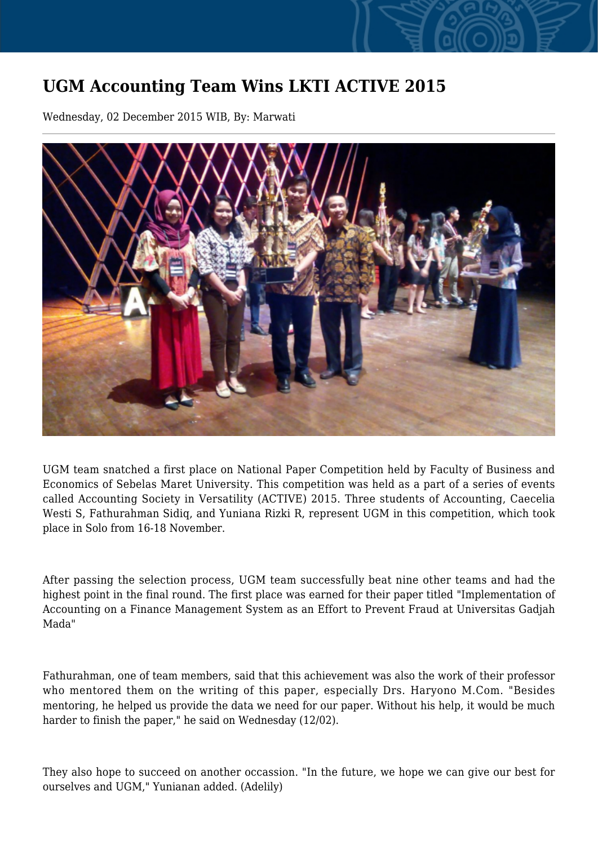## **UGM Accounting Team Wins LKTI ACTIVE 2015**

Wednesday, 02 December 2015 WIB, By: Marwati



UGM team snatched a first place on National Paper Competition held by Faculty of Business and Economics of Sebelas Maret University. This competition was held as a part of a series of events called Accounting Society in Versatility (ACTIVE) 2015. Three students of Accounting, Caecelia Westi S, Fathurahman Sidiq, and Yuniana Rizki R, represent UGM in this competition, which took place in Solo from 16-18 November.

After passing the selection process, UGM team successfully beat nine other teams and had the highest point in the final round. The first place was earned for their paper titled "Implementation of Accounting on a Finance Management System as an Effort to Prevent Fraud at Universitas Gadjah Mada"

Fathurahman, one of team members, said that this achievement was also the work of their professor who mentored them on the writing of this paper, especially Drs. Haryono M.Com. "Besides mentoring, he helped us provide the data we need for our paper. Without his help, it would be much harder to finish the paper," he said on Wednesday (12/02).

They also hope to succeed on another occassion. "In the future, we hope we can give our best for ourselves and UGM," Yunianan added. (Adelily)